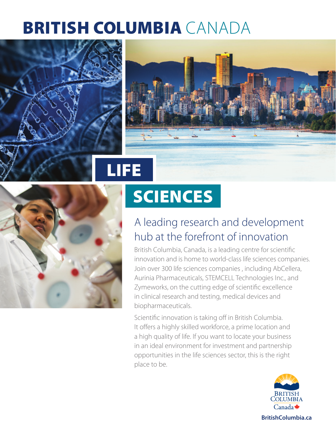## BRITISH COLUMBIA CANADA





# **SCIENCES**

### A leading research and development hub at the forefront of innovation

British Columbia, Canada, is a leading centre for scientific innovation and is home to world-class life sciences companies. Join over 300 life sciences companies , including AbCellera, Aurinia Pharmaceuticals, STEMCELL Technologies Inc., and Zymeworks, on the cutting edge of scientific excellence in clinical research and testing, medical devices and biopharmaceuticals.

Scientific innovation is taking off in British Columbia. It offers a highly skilled workforce, a prime location and a high quality of life. If you want to locate your business in an ideal environment for investment and partnership opportunities in the life sciences sector, this is the right place to be.

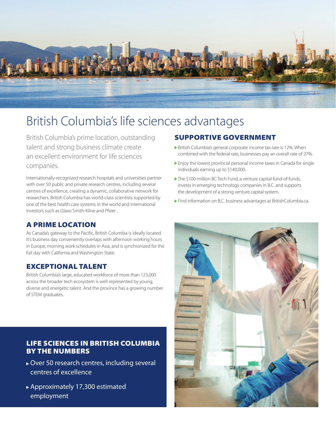

### British Columbia's life sciences advantages

British Columbia's prime location, outstanding talent and strong business climate create an excellent environment for life sciences companies.

Internationally-recognized research hospitals and universities partner with over 50 public and private research centres, including several centres of excellence, creating a dynamic, collaborative network for researchers. British Columbia has world-class scientists supported by one of the best health care systems in the world and international investors such as Glaxo Smith-Kline and Pfizer .

#### A PRIME LOCATION

As Canada's gateway to the Pacific, British Columbia is ideally located. It's business day conveniently overlaps with afternoon working hours in Europe, morning work schedules in Asia, and is synchronized for the full day with California and Washington State.

#### EXCEPTIONAL TALENT

British Columbia's large, educated workforce of more than 123,000 across the broader tech ecosystem is well represented by young, diverse and energetic talent. And the province has a growing number of STEM graduates.

#### LIFE SCIENCES IN BRITISH COLUMBIA BY THE NUMBERS

- Over 50 research centres, including several centres of excellence
- Approximately 17,300 estimated employment

#### SUPPORTIVE GOVERNMENT

- British Columbia's general corporate income tax rate is 12%. When combined with the federal rate, businesses pay an overall rate of 27%.
- Enjoy the lowest provincial personal income taxes in Canada for single individuals earning up to \$140,000.
- The \$100-million BC Tech Fund, a venture capital fund-of-funds, invests in emerging technology companies in B.C. and supports the development of a strong venture capital system.
- Find information on B.C. business advantages at [BritishColumbia.ca.](https://www.britishcolumbia.ca/)

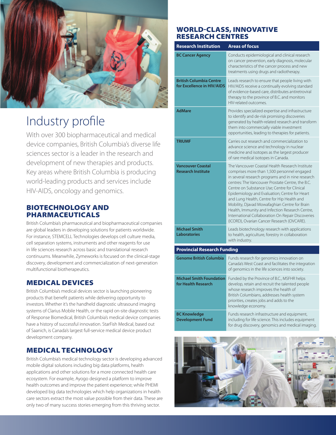

### Industry profile

With over 300 biopharmaceutical and medical device companies, British Columbia's diverse life sciences sector is a leader in the research and development of new therapies and products. Key areas where British Columbia is producing world-leading products and services include HIV-AIDS, oncology and genomics.

#### BIOTECHNOLOGY AND PHARMACEUTICALS

British Columbia's pharmaceutical and biopharmaceutical companies are global leaders in developing solutions for patients worldwide. For instance, STEMCELL Technologies develops cell culture media, cell separation systems, instruments and other reagents for use in life sciences research across basic and translational research continuums. Meanwhile, Zymeworks is focused on the clinical-stage discovery, development and commercialization of next-generation multifunctional biotherapeutics.

#### MEDICAL DEVICES

British Columbia's medical devices sector is launching pioneering products that benefit patients while delivering opportunity to investors. Whether it's the handheld diagnostic ultrasound imaging systems of Clarius Mobile Health, or the rapid on-site diagnostic tests of Response Biomedical, British Columbia's medical device companies have a history of successful innovation. StarFish Medical, based out of Saanich, is Canada's largest full-service medical device product development company.

#### MEDICAL TECHNOLOGY

British Columbia's medical technology sector is developing advanced mobile digital solutions including big data platforms, health applications and other solutions for a more connected health care ecosystem. For example, Ayogo designed a platform to improve health outcomes and improve the patient experience; while PHEMI developed big data technologies which help organizations in health care sectors extract the most value possible from their data. These are only two of many success stories emerging from this thriving sector.

#### WORLD-CLASS, INNOVATIVE RESEARCH CENTRES

| <b>Research Institution</b>                                  | <b>Areas of focus</b>                                                                                                                                                                                                                                                                                                                                                                                                                                                                                                                                         |
|--------------------------------------------------------------|---------------------------------------------------------------------------------------------------------------------------------------------------------------------------------------------------------------------------------------------------------------------------------------------------------------------------------------------------------------------------------------------------------------------------------------------------------------------------------------------------------------------------------------------------------------|
| <b>BC Cancer Agency</b>                                      | Conducts epidemiological and clinical research<br>on cancer prevention, early diagnosis, molecular<br>characteristics of the cancer process and new<br>treatments using drugs and radiotherapy.                                                                                                                                                                                                                                                                                                                                                               |
| <b>British Columbia Centre</b><br>for Excellence in HIV/AIDS | Leads research to ensure that people living with<br>HIV/AIDS receive a continually evolving standard<br>of evidence-based care, distributes antiretroviral<br>therapy to the province of B.C. and monitors<br>HIV-related outcomes.                                                                                                                                                                                                                                                                                                                           |
| <b>AdMare</b>                                                | Provides specialized expertise and infrastructure<br>to identify and de-risk promising discoveries<br>generated by health-related research and transform<br>them into commercially viable investment<br>opportunities, leading to therapies for patients.                                                                                                                                                                                                                                                                                                     |
| <b>TRIUMF</b>                                                | Carries out research and commercialization to<br>advance science and technology in nuclear<br>medicine and isotopes as the largest producer<br>of rare medical isotopes in Canada.                                                                                                                                                                                                                                                                                                                                                                            |
| <b>Vancouver Coastal</b><br><b>Research Institute</b>        | The Vancouver Coastal Health Research Institute<br>comprises more than 1,500 personnel engaged<br>in several research programs and in nine research<br>centres: The Vancouver Prostate Centre, the B.C.<br>Centre on Substance Use; Centre for Clinical<br>Epidemiology and Evaluation; Centre for Heart<br>and Lung Health, Centre for Hip Health and<br>Mobility, Djavad Mowafaghian Centre for Brain<br>Health, Immunity and Infection Research Centre,<br>International Collaboration On Repair Discoveries<br>(ICORD), Ovarian Cancer Research (OVCARE). |
| <b>Michael Smith</b><br><b>Laboratories</b>                  | Leads biotechnology research with applications<br>to health, agriculture, forestry in collaboration<br>with industry.                                                                                                                                                                                                                                                                                                                                                                                                                                         |
| <b>Provincial Research Funding</b>                           |                                                                                                                                                                                                                                                                                                                                                                                                                                                                                                                                                               |
| <b>Genome British Columbia</b>                               | Funds research for genomics innovation on<br>Canada's West Coast and facilitates the integration<br>of genomics in the life sciences into society.                                                                                                                                                                                                                                                                                                                                                                                                            |
| <b>Michael Smith Foundation</b><br>for Health Research       | Funded by the Province of B.C., MSFHR helps<br>develop, retain and recruit the talented people<br>whose research improves the health of<br>British Columbians, addresses health system<br>priorities, creates jobs and adds to the<br>knowledge economy.                                                                                                                                                                                                                                                                                                      |
| <b>BC Knowledge</b><br><b>Development Fund</b>               | Funds research infrastructure and equipment,<br>including for life science. This includes equipment<br>for drug discovery, genomics and medical imaging.                                                                                                                                                                                                                                                                                                                                                                                                      |